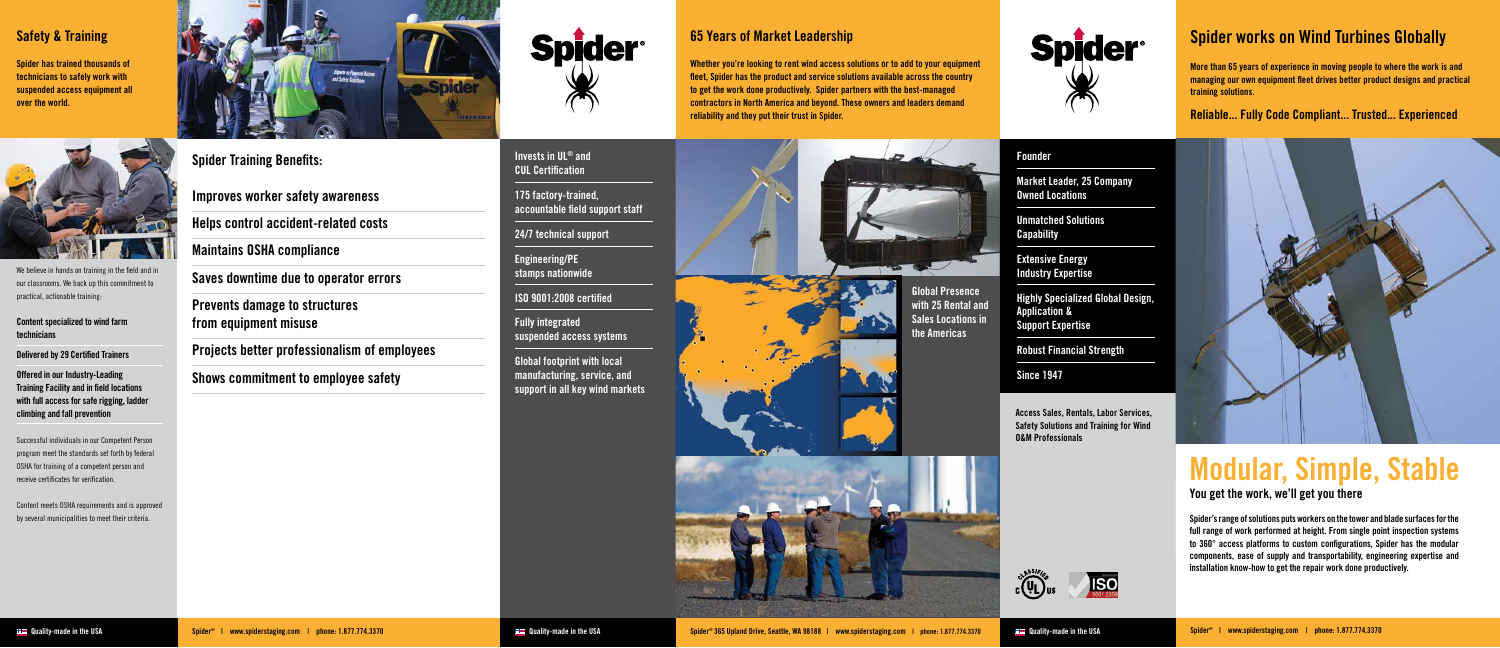**Access Sales, Rentals, Labor Services, Safety Solutions and Training for Wind O&M Professionals** 

We believe in hands on training in the field and in our classrooms. We back up this commitment to practical, actionable training:

**Content specialized to wind farm technicians** 

**Delivered by 29 Certified Trainers** 

**Offered in our Industry-Leading Training Facility and in field locations with full access for safe rigging, ladder climbing and fall prevention**

Successful individuals in our Competent Person program meet the standards set forth by federal OSHA for training of a competent person and receive certificates for verification.

Content meets OSHA requirements and is approved by several municipalities to meet their criteria.



**Spider Training Benefits:**

**Improves worker safety awareness**

**Helps control accident-related costs**

**Maintains OSHA compliance**

**Saves downtime due to operator errors**

**Prevents damage to structures from equipment misuse**

**Projects better professionalism of employees**

**Shows commitment to employee safety**







**Spider has trained thousands of technicians to safely work with suspended access equipment all over the world.**



### **Safety & Training**

#### **Founder**

**Market Leader, 25 Company Owned Locations**

**Unmatched Solutions Capability**

**Extensive Energy Industry Expertise**

**Highly Specialized Global Design, Application & Support Expertise**

**Robust Financial Strength**

**Since 1947**

**Invests in UL® and CUL Certification**

**175 factory-trained, accountable field support staff**

**24/7 technical support**

**Engineering/PE stamps nationwide**

**ISO 9001:2008 certified**

**Fully integrated suspended access systems**

**Global footprint with local manufacturing, service, and support in all key wind markets**

### **65 Years of Market Leadership**

**Whether you're looking to rent wind access solutions or to add to your equipment fleet, Spider has the product and service solutions available across the country to get the work done productively. Spider partners with the best-managed contractors in North America and beyond. These owners and leaders demand reliability and they put their trust in Spider.** 



**with 25 Rental and Sales Locations in the Americas**